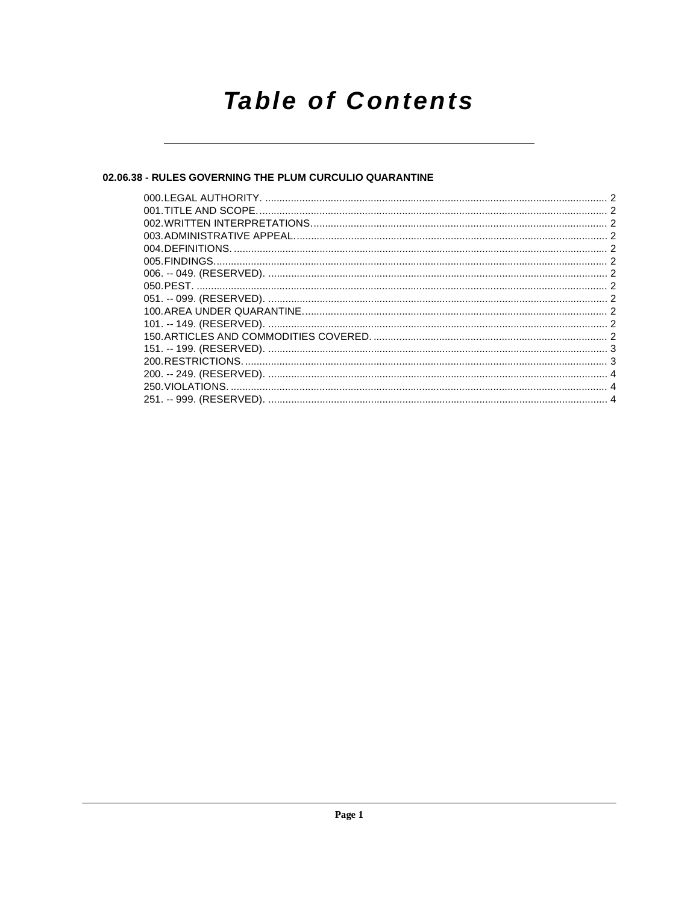## **Table of Contents**

### 02.06.38 - RULES GOVERNING THE PLUM CURCULIO QUARANTINE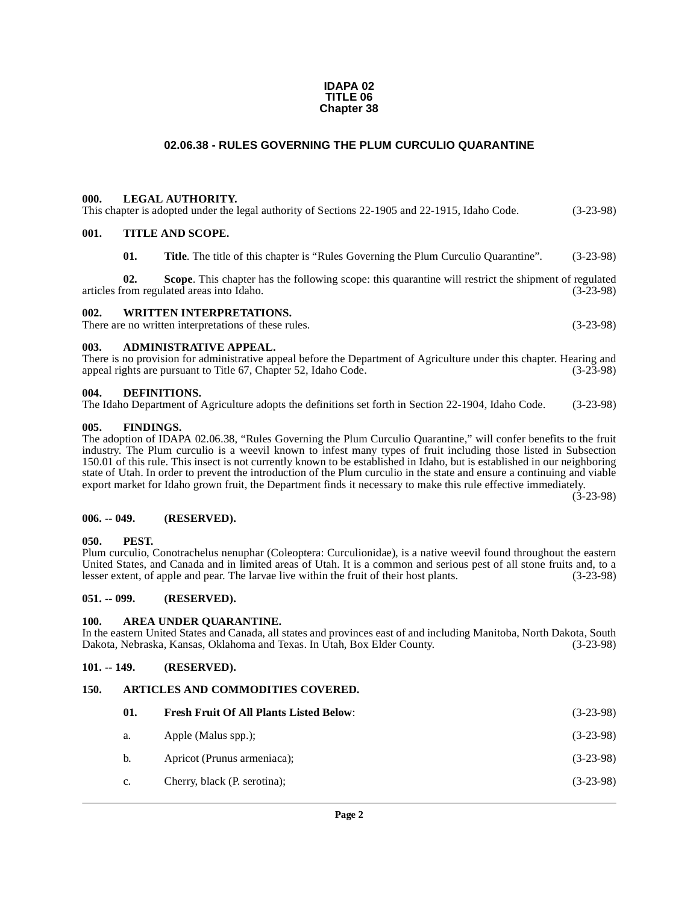#### **IDAPA 02 TITLE 06 Chapter 38**

#### **02.06.38 - RULES GOVERNING THE PLUM CURCULIO QUARANTINE**

#### <span id="page-1-1"></span><span id="page-1-0"></span>**000. LEGAL AUTHORITY.**

| . |  |  |                                                                                                |             |
|---|--|--|------------------------------------------------------------------------------------------------|-------------|
|   |  |  | This chapter is adopted under the legal authority of Sections 22-1905 and 22-1915, Idaho Code. | $(3-23-98)$ |
|   |  |  |                                                                                                |             |

#### <span id="page-1-2"></span>**001. TITLE AND SCOPE.**

| 01. | <b>Title.</b> The title of this chapter is "Rules Governing the Plum Curculio Quarantine". | $(3-23-98)$ |
|-----|--------------------------------------------------------------------------------------------|-------------|
|     |                                                                                            |             |

**02.** Scope. This chapter has the following scope: this quarantine will restrict the shipment of regulated areas into Idaho. (3-23-98) articles from regulated areas into Idaho.

#### <span id="page-1-3"></span>**002. WRITTEN INTERPRETATIONS.**

There are no written interpretations of these rules. (3-23-98)

#### <span id="page-1-4"></span>**003. ADMINISTRATIVE APPEAL.**

There is no provision for administrative appeal before the Department of Agriculture under this chapter. Hearing and appeal rights are pursuant to Title 67. Chapter 52. Idaho Code. (3-23-98) appeal rights are pursuant to Title 67, Chapter 52, Idaho Code.

#### <span id="page-1-15"></span><span id="page-1-5"></span>**004. DEFINITIONS.**

The Idaho Department of Agriculture adopts the definitions set forth in Section 22-1904, Idaho Code. (3-23-98)

#### <span id="page-1-16"></span><span id="page-1-6"></span>**005. FINDINGS.**

The adoption of IDAPA 02.06.38, "Rules Governing the Plum Curculio Quarantine," will confer benefits to the fruit industry. The Plum curculio is a weevil known to infest many types of fruit including those listed in Subsection 150.01 of this rule. This insect is not currently known to be established in Idaho, but is established in our neighboring state of Utah. In order to prevent the introduction of the Plum curculio in the state and ensure a continuing and viable export market for Idaho grown fruit, the Department finds it necessary to make this rule effective immediately.

(3-23-98)

#### <span id="page-1-7"></span>**006. -- 049. (RESERVED).**

#### <span id="page-1-18"></span><span id="page-1-8"></span>**050. PEST.**

Plum curculio, Conotrachelus nenuphar (Coleoptera: Curculionidae), is a native weevil found throughout the eastern United States, and Canada and in limited areas of Utah. It is a common and serious pest of all stone fruits and, to a lesser extent, of apple and pear. The larvae live within the fruit of their host plants. (3-23-98) lesser extent, of apple and pear. The larvae live within the fruit of their host plants.

#### <span id="page-1-9"></span>**051. -- 099. (RESERVED).**

#### <span id="page-1-13"></span><span id="page-1-10"></span>**100. AREA UNDER QUARANTINE.**

In the eastern United States and Canada, all states and provinces east of and including Manitoba, North Dakota, South Dakota, Nebraska, Kansas, Oklahoma and Texas. In Utah, Box Elder County. (3-23-98)

#### <span id="page-1-11"></span>**101. -- 149. (RESERVED).**

#### <span id="page-1-12"></span>**150. ARTICLES AND COMMODITIES COVERED.**

<span id="page-1-17"></span><span id="page-1-14"></span>

| 01. | <b>Fresh Fruit Of All Plants Listed Below:</b> | $(3-23-98)$ |
|-----|------------------------------------------------|-------------|
| a.  | Apple (Malus spp.);                            | $(3-23-98)$ |
| b.  | Apricot (Prunus armeniaca);                    | $(3-23-98)$ |
| c.  | Cherry, black (P. serotina);                   | $(3-23-98)$ |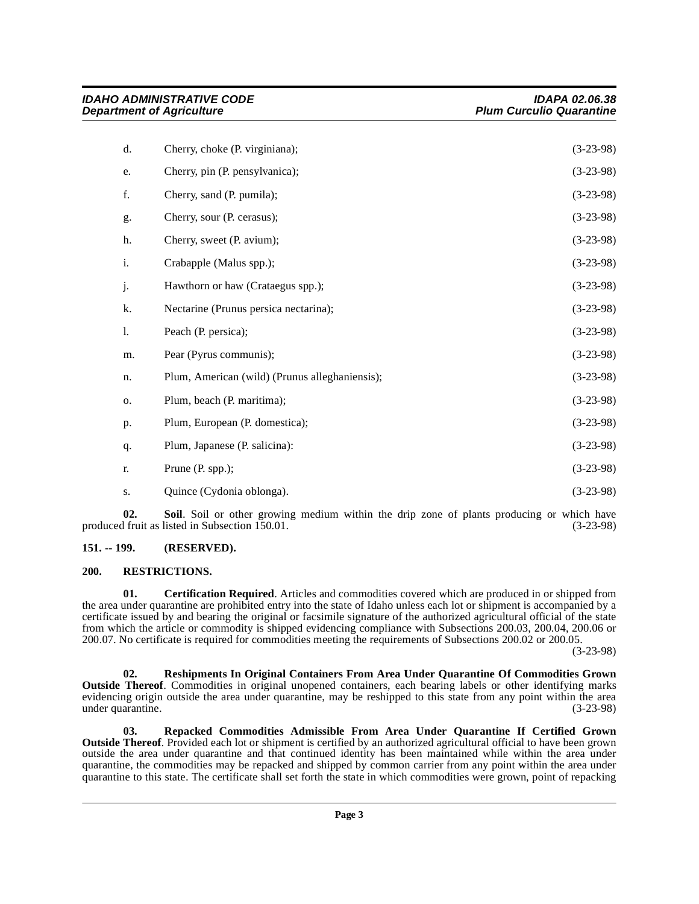|    | <b>IDAHO ADMINISTRATIVE CODE</b><br><b>Department of Agriculture</b> | <b>IDAPA 02.06.38</b><br><b>Plum Curculio Quarantine</b> |  |
|----|----------------------------------------------------------------------|----------------------------------------------------------|--|
| d. | Cherry, choke (P. virginiana);                                       | $(3-23-98)$                                              |  |
| e. | Cherry, pin (P. pensylvanica);                                       | $(3-23-98)$                                              |  |
| f. | Cherry, sand (P. pumila);                                            | $(3-23-98)$                                              |  |
| g. | Cherry, sour (P. cerasus);                                           | $(3-23-98)$                                              |  |
| h. | Cherry, sweet (P. avium);                                            | $(3-23-98)$                                              |  |
| i. | Crabapple (Malus spp.);                                              | $(3-23-98)$                                              |  |
| j. | Hawthorn or haw (Crataegus spp.);                                    | $(3-23-98)$                                              |  |
| k. | Nectarine (Prunus persica nectarina);                                | $(3-23-98)$                                              |  |
| 1. | Peach (P. persica);                                                  | $(3-23-98)$                                              |  |
| m. | Pear (Pyrus communis);                                               | $(3-23-98)$                                              |  |
| n. | Plum, American (wild) (Prunus alleghaniensis);                       | $(3-23-98)$                                              |  |
| 0. | Plum, beach (P. maritima);                                           | $(3-23-98)$                                              |  |
| p. | Plum, European (P. domestica);                                       | $(3-23-98)$                                              |  |
| q. | Plum, Japanese (P. salicina):                                        | $(3-23-98)$                                              |  |
| r. | Prune (P. spp.);                                                     | $(3-23-98)$                                              |  |
| S. | Quince (Cydonia oblonga).                                            | $(3-23-98)$                                              |  |

<span id="page-2-6"></span>**02.** Soil. Soil or other growing medium within the drip zone of plants producing or which have 1 fruit as listed in Subsection 150.01. produced fruit as listed in Subsection 150.01.

#### <span id="page-2-0"></span>**151. -- 199. (RESERVED).**

#### <span id="page-2-5"></span><span id="page-2-1"></span>**200. RESTRICTIONS.**

<span id="page-2-2"></span>**01. Certification Required**. Articles and commodities covered which are produced in or shipped from the area under quarantine are prohibited entry into the state of Idaho unless each lot or shipment is accompanied by a certificate issued by and bearing the original or facsimile signature of the authorized agricultural official of the state from which the article or commodity is shipped evidencing compliance with Subsections 200.03, 200.04, 200.06 or 200.07. No certificate is required for commodities meeting the requirements of Subsections 200.02 or 200.05.

(3-23-98)

<span id="page-2-4"></span>**02. Reshipments In Original Containers From Area Under Quarantine Of Commodities Grown Outside Thereof**. Commodities in original unopened containers, each bearing labels or other identifying marks evidencing origin outside the area under quarantine, may be reshipped to this state from any point within the area under quarantine. under quarantine.

<span id="page-2-3"></span>**03. Repacked Commodities Admissible From Area Under Quarantine If Certified Grown Outside Thereof**. Provided each lot or shipment is certified by an authorized agricultural official to have been grown outside the area under quarantine and that continued identity has been maintained while within the area under quarantine, the commodities may be repacked and shipped by common carrier from any point within the area under quarantine to this state. The certificate shall set forth the state in which commodities were grown, point of repacking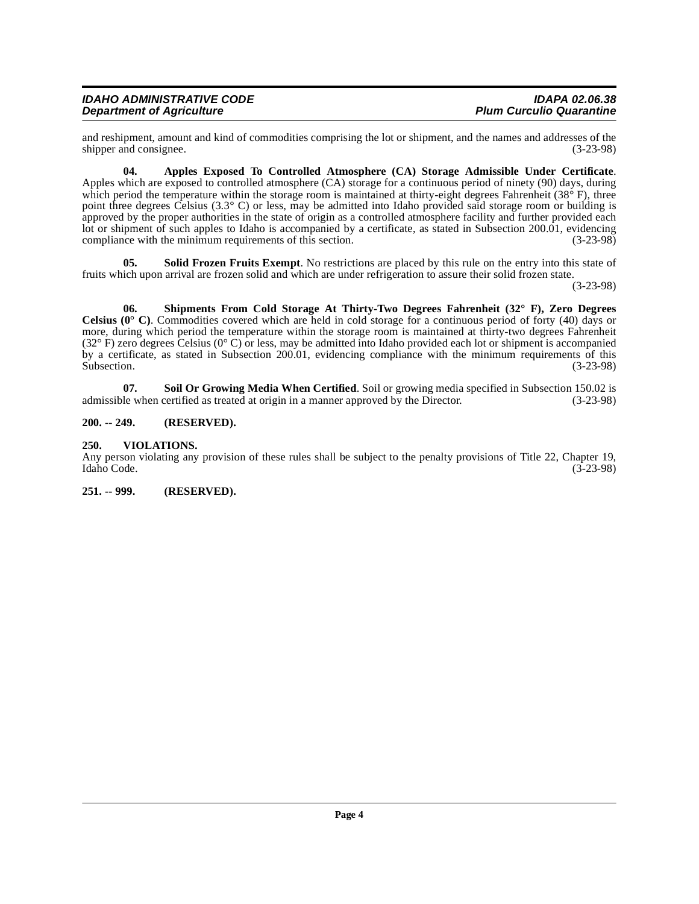| <b>IDAHO ADMINISTRATIVE CODE</b> | <b>IDAPA 02.06.38</b>           |
|----------------------------------|---------------------------------|
| <b>Department of Agriculture</b> | <b>Plum Curculio Quarantine</b> |

and reshipment, amount and kind of commodities comprising the lot or shipment, and the names and addresses of the shipper and consignee. (3-23-98) shipper and consignee.

<span id="page-3-3"></span>**04. Apples Exposed To Controlled Atmosphere (CA) Storage Admissible Under Certificate**. Apples which are exposed to controlled atmosphere (CA) storage for a continuous period of ninety (90) days, during which period the temperature within the storage room is maintained at thirty-eight degrees Fahrenheit ( $38^\circ$  F), three point three degrees Celsius (3.3° C) or less, may be admitted into Idaho provided said storage room or building is approved by the proper authorities in the state of origin as a controlled atmosphere facility and further provided each lot or shipment of such apples to Idaho is accompanied by a certificate, as stated in Subsection 200.01, evidencing compliance with the minimum requirements of this section. (3-23-98) compliance with the minimum requirements of this section.

<span id="page-3-6"></span>**05.** Solid Frozen Fruits Exempt. No restrictions are placed by this rule on the entry into this state of fruits which upon arrival are frozen solid and which are under refrigeration to assure their solid frozen state.

(3-23-98)

<span id="page-3-4"></span>**06. Shipments From Cold Storage At Thirty-Two Degrees Fahrenheit (32° F), Zero Degrees Celsius (0° C)**. Commodities covered which are held in cold storage for a continuous period of forty (40) days or more, during which period the temperature within the storage room is maintained at thirty-two degrees Fahrenheit  $(32^{\circ} \text{ F})$  zero degrees Celsius  $(0^{\circ} \text{ C})$  or less, may be admitted into Idaho provided each lot or shipment is accompanied by a certificate, as stated in Subsection 200.01, evidencing compliance with the minimum requirements of this Subsection. (3-23-98) Subsection.  $(3-23-98)$ 

<span id="page-3-5"></span>**07.** Soil Or Growing Media When Certified. Soil or growing media specified in Subsection 150.02 is le when certified as treated at origin in a manner approved by the Director. (3-23-98) admissible when certified as treated at origin in a manner approved by the Director.

#### <span id="page-3-0"></span>**200. -- 249. (RESERVED).**

#### <span id="page-3-7"></span><span id="page-3-1"></span>**250. VIOLATIONS.**

Any person violating any provision of these rules shall be subject to the penalty provisions of Title 22, Chapter 19, Idaho Code. (3-23-98) Idaho Code. (3-23-98)

<span id="page-3-2"></span>**251. -- 999. (RESERVED).**